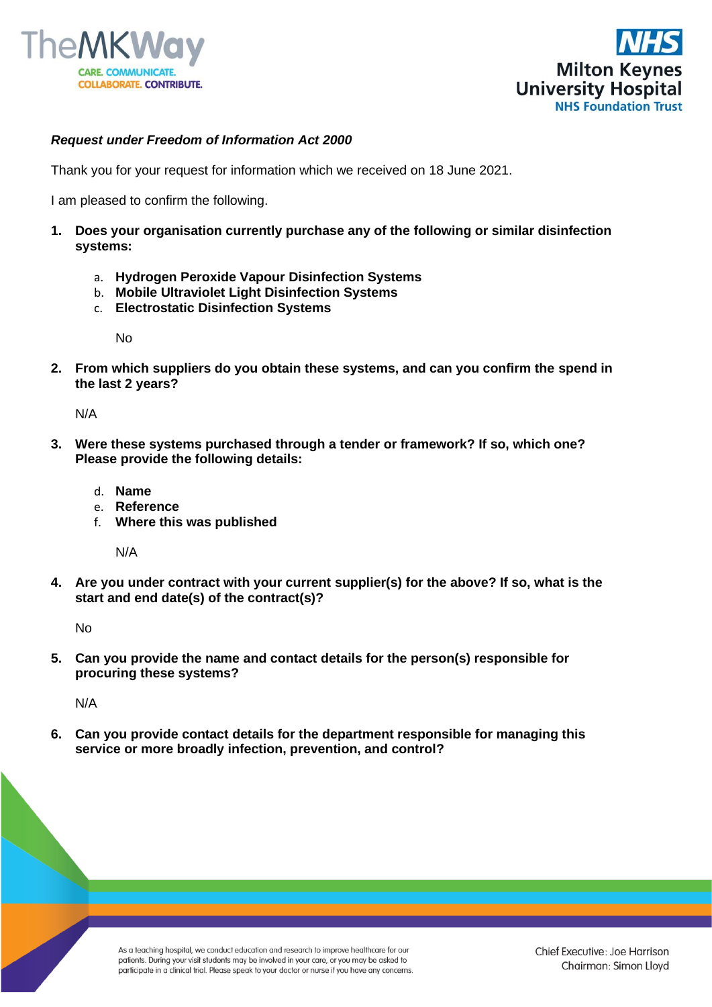



## *Request under Freedom of Information Act 2000*

Thank you for your request for information which we received on 18 June 2021.

I am pleased to confirm the following.

- **1. Does your organisation currently purchase any of the following or similar disinfection systems:**
	- a. **Hydrogen Peroxide Vapour Disinfection Systems**
	- b. **Mobile Ultraviolet Light Disinfection Systems**
	- c. **Electrostatic Disinfection Systems**

No

**2. From which suppliers do you obtain these systems, and can you confirm the spend in the last 2 years?**

N/A

- **3. Were these systems purchased through a tender or framework? If so, which one? Please provide the following details:**
	- d. **Name**
	- e. **Reference**
	- f. **Where this was published**

N/A

**4. Are you under contract with your current supplier(s) for the above? If so, what is the start and end date(s) of the contract(s)?**

No

**5. Can you provide the name and contact details for the person(s) responsible for procuring these systems?** 

N/A

**6. Can you provide contact details for the department responsible for managing this service or more broadly infection, prevention, and control?**

> As a teaching hospital, we conduct education and research to improve healthcare for our patients. During your visit students may be involved in your care, or you may be asked to participate in a clinical trial. Please speak to your doctor or nurse if you have any concerns.